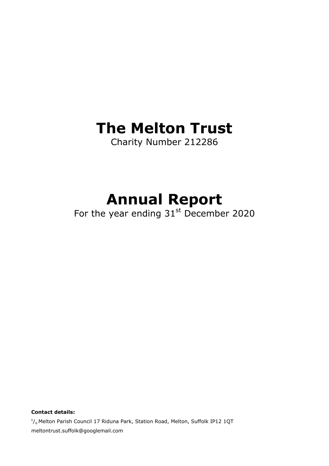## **The Melton Trust**

Charity Number 212286

# **Annual Report**

For the year ending  $31<sup>st</sup>$  December 2020

<sup>c</sup>/<sub>o</sub> Melton Parish Council 17 Riduna Park, Station Road, Melton, Suffolk IP12 1QT meltontrust.suffolk@googlemail.com

**Contact details:**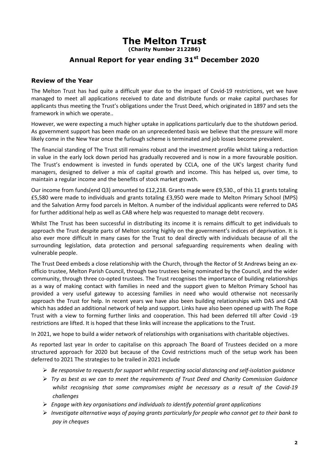### **The Melton Trust**

**(Charity Number 212286)**

### **Annual Report for year ending 31st December 2020**

#### **Review of the Year**

The Melton Trust has had quite a difficult year due to the impact of Covid-19 restrictions, yet we have managed to meet all applications received to date and distribute funds or make capital purchases for applicants thus meeting the Trust's obligations under the Trust Deed, which originated in 1897 and sets the framework in which we operate..

However, we were expecting a much higher uptake in applications particularly due to the shutdown period. As government support has been made on an unprecedented basis we believe that the pressure will more likely come in the New Year once the furlough scheme is terminated and job losses become prevalent.

The financial standing of The Trust still remains robust and the investment profile whilst taking a reduction in value in the early lock down period has gradually recovered and is now in a more favourable position. The Trust's endowment is invested in funds operated by CCLA, one of the UK's largest charity fund managers, designed to deliver a mix of capital growth and income. This has helped us, over time, to maintain a regular income and the benefits of stock market growth.

Our income from funds(end Q3) amounted to £12,218. Grants made were £9,530., of this 11 grants totaling £5,580 were made to individuals and grants totaling £3,950 were made to Melton Primary School (MPS) and the Salvation Army food parcels in Melton. A number of the individual applicants were referred to DAS for further additional help as well as CAB where help was requested to manage debt recovery.

Whilst The Trust has been successful in distributing its income it is remains difficult to get individuals to approach the Trust despite parts of Melton scoring highly on the government's indices of deprivation. It is also ever more difficult in many cases for the Trust to deal directly with individuals because of all the surrounding legislation, data protection and personal safeguarding requirements when dealing with vulnerable people.

The Trust Deed embeds a close relationship with the Church, through the Rector of St Andrews being an exofficio trustee, Melton Parish Council, through two trustees being nominated by the Council, and the wider community, through three co-opted trustees. The Trust recognises the importance of building relationships as a way of making contact with families in need and the support given to Melton Primary School has provided a very useful gateway to accessing families in need who would otherwise not necessarily approach the Trust for help. In recent years we have also been building relationships with DAS and CAB which has added an additional network of help and support. Links have also been opened up with The Rope Trust with a view to forming further links and cooperation. This had been deferred till after Covid -19 restrictions are lifted. It is hoped that these links will increase the applications to the Trust.

In 2021, we hope to build a wider network of relationships with organisations with charitable objectives.

As reported last year In order to capitalise on this approach The Board of Trustees decided on a more structured approach for 2020 but because of the Covid restrictions much of the setup work has been deferred to 2021 The strategies to be trailed in 2021 include

- *Be responsive to requests for support whilst respecting social distancing and self-isolation guidance*
- *Try as best as we can to meet the requirements of Trust Deed and Charity Commission Guidance whilst recognising that some compromises might be necessary as a result of the Covid-19 challenges*
- *Engage with key organisations and individuals to identify potential grant applications*
- *Investigate alternative ways of paying grants particularly for people who cannot get to their bank to pay in cheques*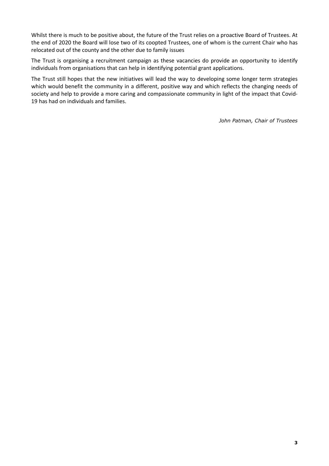Whilst there is much to be positive about, the future of the Trust relies on a proactive Board of Trustees. At the end of 2020 the Board will lose two of its coopted Trustees, one of whom is the current Chair who has relocated out of the county and the other due to family issues

The Trust is organising a recruitment campaign as these vacancies do provide an opportunity to identify individuals from organisations that can help in identifying potential grant applications.

The Trust still hopes that the new initiatives will lead the way to developing some longer term strategies which would benefit the community in a different, positive way and which reflects the changing needs of society and help to provide a more caring and compassionate community in light of the impact that Covid-19 has had on individuals and families.

*John Patman, Chair of Trustees*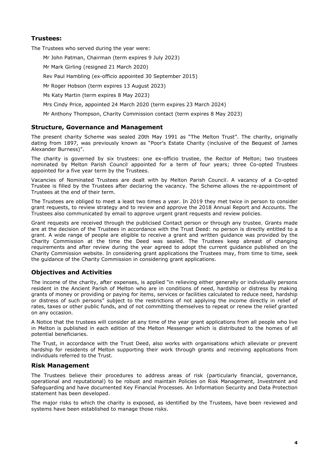#### **Trustees:**

The Trustees who served during the year were:

Mr John Patman, Chairman (term expires 9 July 2023)

Mr Mark Girling (resigned 21 March 2020)

Rev Paul Hambling (ex-officio appointed 30 September 2015)

Mr Roger Hobson (term expires 13 August 2023)

Ms Katy Martin (term expires 8 May 2023)

Mrs Cindy Price, appointed 24 March 2020 (term expires 23 March 2024)

Mr Anthony Thompson, Charity Commission contact (term expires 8 May 2023)

#### **Structure, Governance and Management**

The present charity Scheme was sealed 20th May 1991 as "The Melton Trust". The charity, originally dating from 1897, was previously known as "Poor's Estate Charity (inclusive of the Bequest of James Alexander Burness)".

The charity is governed by six trustees: one ex-officio trustee, the Rector of Melton; two trustees nominated by Melton Parish Council appointed for a term of four years; three Co-opted Trustees appointed for a five year term by the Trustees.

Vacancies of Nominated Trustees are dealt with by Melton Parish Council. A vacancy of a Co-opted Trustee is filled by the Trustees after declaring the vacancy. The Scheme allows the re-appointment of Trustees at the end of their term.

The Trustees are obliged to meet a least two times a year. In 2019 they met twice in person to consider grant requests, to review strategy and to review and approve the 2018 Annual Report and Accounts. The Trustees also communicated by email to approve urgent grant requests and review policies.

Grant requests are received through the publicised Contact person or through any trustee. Grants made are at the decision of the Trustees in accordance with the Trust Deed: no person is directly entitled to a grant. A wide range of people are eligible to receive a grant and written guidance was provided by the Charity Commission at the time the Deed was sealed. The Trustees keep abreast of changing requirements and after review during the year agreed to adopt the current guidance published on the Charity Commission website. In considering grant applications the Trustees may, from time to time, seek the guidance of the Charity Commission in considering grant applications.

#### **Objectives and Activities**

The income of the charity, after expenses, is applied "in relieving either generally or individually persons resident in the Ancient Parish of Melton who are in conditions of need, hardship or distress by making grants of money or providing or paying for items, services or facilities calculated to reduce need, hardship or distress of such persons" subject to the restrictions of not applying the income directly in relief of rates, taxes or other public funds, and of not committing themselves to repeat or renew the relief granted on any occasion.

A Notice that the trustees will consider at any time of the year grant applications from all people who live in Melton is published in each edition of the Melton Messenger which is distributed to the homes of all potential beneficiaries.

The Trust, in accordance with the Trust Deed, also works with organisations which alleviate or prevent hardship for residents of Melton supporting their work through grants and receiving applications from individuals referred to the Trust.

#### **Risk Management**

The Trustees believe their procedures to address areas of risk (particularly financial, governance, operational and reputational) to be robust and maintain Policies on Risk Management, Investment and Safeguarding and have documented Key Financial Processes. An Information Security and Data Protection statement has been developed.

The major risks to which the charity is exposed, as identified by the Trustees, have been reviewed and systems have been established to manage those risks.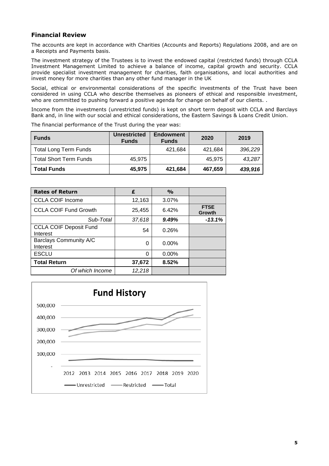#### **Financial Review**

The accounts are kept in accordance with Charities (Accounts and Reports) Regulations 2008, and are on a Receipts and Payments basis.

The investment strategy of the Trustees is to invest the endowed capital (restricted funds) through CCLA Investment Management Limited to achieve a balance of income, capital growth and security. CCLA provide specialist investment management for charities, faith organisations, and local authorities and invest money for more charities than any other fund manager in the UK

Social, ethical or environmental considerations of the specific investments of the Trust have been considered in using CCLA who describe themselves as pioneers of ethical and responsible investment, who are committed to pushing forward a positive agenda for change on behalf of our clients. .

Income from the investments (unrestricted funds) is kept on short term deposit with CCLA and Barclays Bank and, in line with our social and ethical considerations, the Eastern Savings & Loans Credit Union.

| <b>Funds</b>           | <b>Unrestricted</b><br><b>Funds</b> | <b>Endowment</b><br><b>Funds</b> | 2020    | 2019    |
|------------------------|-------------------------------------|----------------------------------|---------|---------|
| Total Long Term Funds  |                                     | 421.684                          | 421.684 | 396,229 |
| Total Short Term Funds | 45.975                              |                                  | 45.975  | 43,287  |
| <b>Total Funds</b>     | 45,975                              | 421,684                          | 467,659 | 439,916 |

The financial performance of the Trust during the year was:

| <b>Rates of Return</b>                    | £      | $\frac{O}{O}$ |                       |
|-------------------------------------------|--------|---------------|-----------------------|
| <b>CCLA COIF Income</b>                   | 12,163 | 3.07%         |                       |
| <b>CCLA COIF Fund Growth</b>              | 25,455 | 6.42%         | <b>FTSE</b><br>Growth |
| Sub-Total                                 | 37,618 | 9.49%         | $-13.1%$              |
| <b>CCLA COIF Deposit Fund</b><br>Interest | 54     | 0.26%         |                       |
| Barclays Community A/C<br>Interest        | 0      | $0.00\%$      |                       |
| <b>ESCLU</b>                              | 0      | $0.00\%$      |                       |
| <b>Total Return</b>                       | 37,672 | 8.52%         |                       |
| Of which Income                           | 12,218 |               |                       |